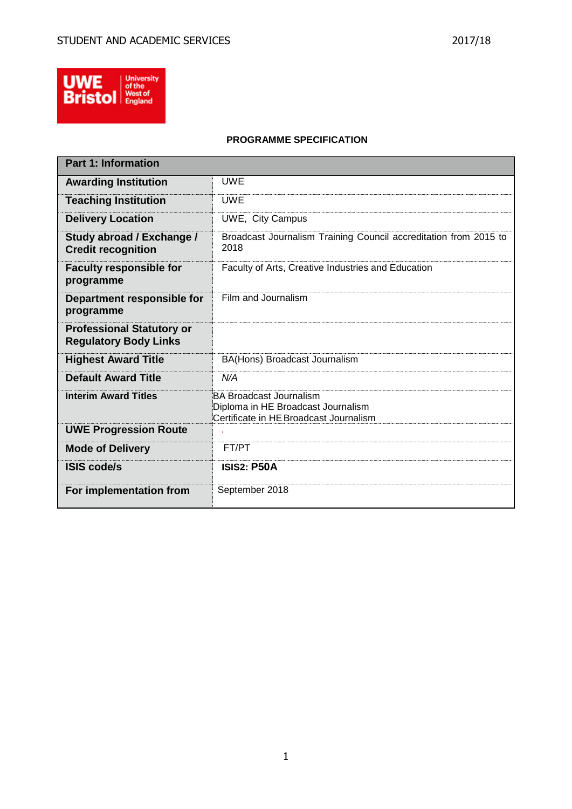

# **PROGRAMME SPECIFICATION**

| <b>Part 1: Information</b>                                       |                                                                                                                |
|------------------------------------------------------------------|----------------------------------------------------------------------------------------------------------------|
| <b>Awarding Institution</b>                                      | <b>UWE</b>                                                                                                     |
| <b>Teaching Institution</b>                                      | <b>UWE</b>                                                                                                     |
| <b>Delivery Location</b>                                         | UWE, City Campus                                                                                               |
| Study abroad / Exchange /<br><b>Credit recognition</b>           | Broadcast Journalism Training Council accreditation from 2015 to<br>2018                                       |
| <b>Faculty responsible for</b><br>programme                      | Faculty of Arts, Creative Industries and Education                                                             |
| Department responsible for<br>programme                          | Film and Journalism                                                                                            |
| <b>Professional Statutory or</b><br><b>Regulatory Body Links</b> |                                                                                                                |
| <b>Highest Award Title</b>                                       | BA(Hons) Broadcast Journalism                                                                                  |
| <b>Default Award Title</b>                                       | N/A                                                                                                            |
| <b>Interim Award Titles</b>                                      | <b>BA Broadcast Journalism</b><br>Diploma in HE Broadcast Journalism<br>Certificate in HE Broadcast Journalism |
| <b>UWE Progression Route</b>                                     |                                                                                                                |
| <b>Mode of Delivery</b>                                          | FT/PT                                                                                                          |
| <b>ISIS code/s</b>                                               | <b>ISIS2: P50A</b>                                                                                             |
| For implementation from                                          | September 2018                                                                                                 |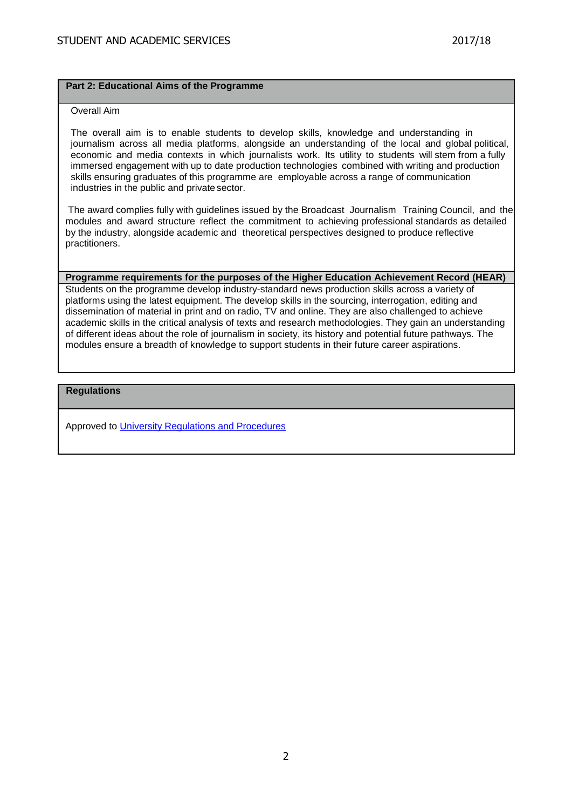## **Part 2: Educational Aims of the Programme**

## Overall Aim

The overall aim is to enable students to develop skills, knowledge and understanding in journalism across all media platforms, alongside an understanding of the local and global political, economic and media contexts in which journalists work. Its utility to students will stem from a fully immersed engagement with up to date production technologies combined with writing and production skills ensuring graduates of this programme are employable across a range of communication industries in the public and private sector.

The award complies fully with guidelines issued by the Broadcast Journalism Training Council, and the modules and award structure reflect the commitment to achieving professional standards as detailed by the industry, alongside academic and theoretical perspectives designed to produce reflective practitioners.

## **Programme requirements for the purposes of the Higher Education Achievement Record (HEAR)**

Students on the programme develop industry-standard news production skills across a variety of platforms using the latest equipment. The develop skills in the sourcing, interrogation, editing and dissemination of material in print and on radio, TV and online. They are also challenged to achieve academic skills in the critical analysis of texts and research methodologies. They gain an understanding of different ideas about the role of journalism in society, its history and potential future pathways. The modules ensure a breadth of knowledge to support students in their future career aspirations.

## **Regulations**

Approved to [University Regulations and Procedures](http://www1.uwe.ac.uk/students/academicadvice/assessments/regulationsandprocedures.aspx)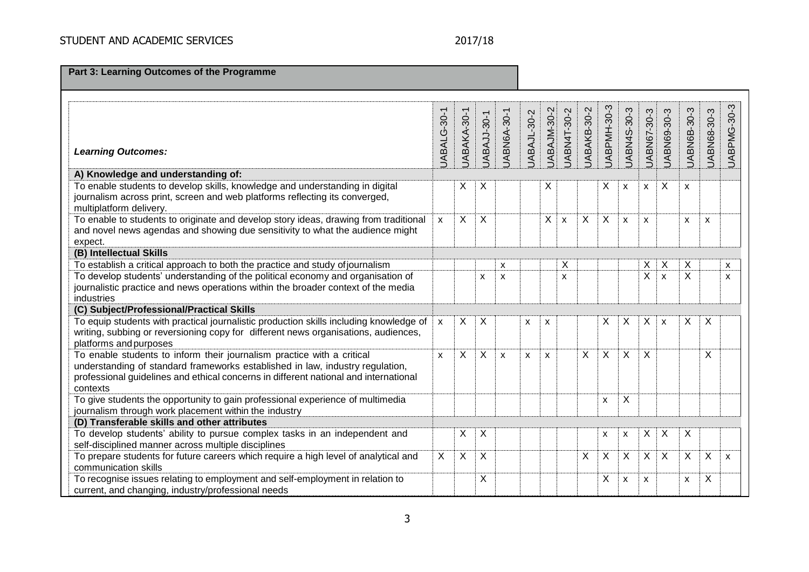|  |  | <b>Part 3: Learning Outcomes of the Programme</b> |
|--|--|---------------------------------------------------|
|--|--|---------------------------------------------------|

| <b>Learning Outcomes:</b>                                                                                                                                                                                                                                   | JABALG-30-1  | JABAKA-30-1 | JABAJJ-30-1               | JABN6A-30-1               | JABAJL-30-2        | JABAJM-30-2  | JABN4T-30-2        | JABAKB-30-2 | JABPMH-30-3 | JABN4S-30-3  | UABN67-30-3    | JABN69-30-3               | JABN6B-30-3    | UABN68-30-3 | <b>UABPMG-30-3</b> |
|-------------------------------------------------------------------------------------------------------------------------------------------------------------------------------------------------------------------------------------------------------------|--------------|-------------|---------------------------|---------------------------|--------------------|--------------|--------------------|-------------|-------------|--------------|----------------|---------------------------|----------------|-------------|--------------------|
| A) Knowledge and understanding of:                                                                                                                                                                                                                          |              |             |                           |                           |                    |              |                    |             |             |              |                |                           |                |             |                    |
| To enable students to develop skills, knowledge and understanding in digital<br>journalism across print, screen and web platforms reflecting its converged,<br>multiplatform delivery.                                                                      |              | X           | X                         |                           |                    | Χ            |                    |             | Χ           | X            | X              | X                         | X              |             |                    |
| To enable to students to originate and develop story ideas, drawing from traditional<br>and novel news agendas and showing due sensitivity to what the audience might<br>expect.                                                                            | $\mathsf{x}$ | X           | X                         |                           |                    | X.           | $\pmb{\mathsf{X}}$ | X           | X           | $\mathsf{x}$ | $\mathsf{x}$   |                           | X              | X           |                    |
| (B) Intellectual Skills                                                                                                                                                                                                                                     |              |             |                           |                           |                    |              |                    |             |             |              |                |                           |                |             |                    |
| To establish a critical approach to both the practice and study of journalism                                                                                                                                                                               |              |             |                           | X                         |                    |              | X                  |             |             |              | Χ              | $\times$                  | X              |             | X                  |
| To develop students' understanding of the political economy and organisation of<br>journalistic practice and news operations within the broader context of the media<br>industries                                                                          |              |             | X                         | X                         |                    |              | X                  |             |             |              | $\overline{X}$ | $\boldsymbol{\mathsf{x}}$ | $\overline{X}$ |             | x                  |
| (C) Subject/Professional/Practical Skills                                                                                                                                                                                                                   |              |             |                           |                           |                    |              |                    |             |             |              |                |                           |                |             |                    |
| To equip students with practical journalistic production skills including knowledge of<br>writing, subbing or reversioning copy for different news organisations, audiences,<br>platforms and purposes                                                      | X            | X           | $\boldsymbol{\mathsf{X}}$ |                           | X                  | X            |                    |             | X           | X            | X              | $\boldsymbol{\mathsf{x}}$ | X              | X           |                    |
| To enable students to inform their journalism practice with a critical<br>understanding of standard frameworks established in law, industry regulation,<br>professional guidelines and ethical concerns in different national and international<br>contexts | $\mathsf{x}$ | X           | X                         | $\boldsymbol{\mathsf{x}}$ | $\pmb{\mathsf{x}}$ | $\mathsf{x}$ |                    | X           | $\mathsf X$ | X            | X              |                           |                | Χ           |                    |
| To give students the opportunity to gain professional experience of multimedia<br>journalism through work placement within the industry                                                                                                                     |              |             |                           |                           |                    |              |                    |             | X           | Χ            |                |                           |                |             |                    |
| (D) Transferable skills and other attributes                                                                                                                                                                                                                |              |             |                           |                           |                    |              |                    |             |             |              |                |                           |                |             |                    |
| To develop students' ability to pursue complex tasks in an independent and<br>self-disciplined manner across multiple disciplines                                                                                                                           |              | $\times$    | X                         |                           |                    |              |                    |             | X           | X            | X              | X                         | X              |             |                    |
| To prepare students for future careers which require a high level of analytical and<br>communication skills                                                                                                                                                 | X            | X           | X                         |                           |                    |              |                    | X           | X           | X            | X              | $\boldsymbol{\mathsf{X}}$ | X              | X           | $\mathsf{x}$       |
| To recognise issues relating to employment and self-employment in relation to<br>current, and changing, industry/professional needs                                                                                                                         |              |             | X                         |                           |                    |              |                    |             | X           | X            | X              |                           | X              | Χ           |                    |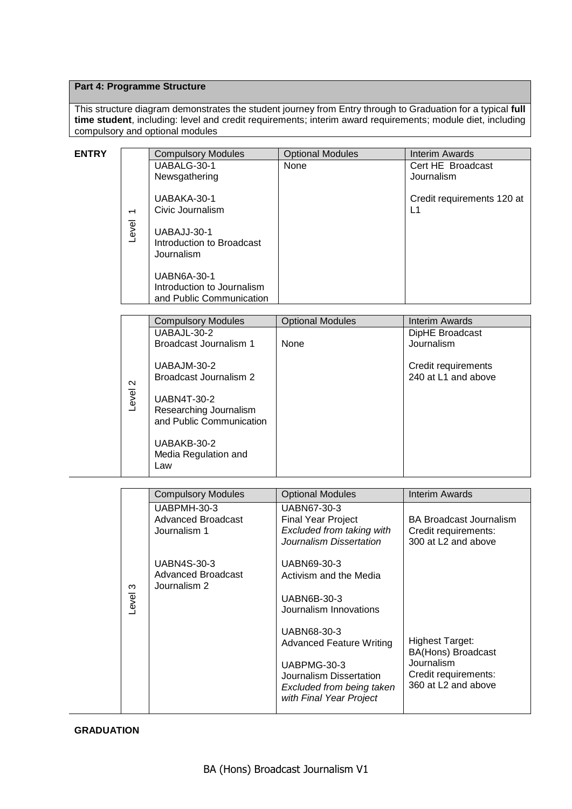# **Part 4: Programme Structure**

This structure diagram demonstrates the student journey from Entry through to Graduation for a typical **full time student**, including: level and credit requirements; interim award requirements; module diet, including compulsory and optional modules

| <b>ENTRY</b> |                          | <b>Compulsory Modules</b>                    | <b>Optional Modules</b>                              | <b>Interim Awards</b>                       |
|--------------|--------------------------|----------------------------------------------|------------------------------------------------------|---------------------------------------------|
|              |                          | UABALG-30-1                                  | None                                                 | Cert HE Broadcast                           |
|              |                          | Newsgathering                                |                                                      | Journalism                                  |
|              |                          | UABAKA-30-1                                  |                                                      |                                             |
|              |                          | Civic Journalism                             |                                                      | Credit requirements 120 at<br>L1            |
|              | $\overline{\phantom{0}}$ |                                              |                                                      |                                             |
|              | Level                    | UABAJJ-30-1                                  |                                                      |                                             |
|              |                          | Introduction to Broadcast                    |                                                      |                                             |
|              |                          | Journalism                                   |                                                      |                                             |
|              |                          | <b>UABN6A-30-1</b>                           |                                                      |                                             |
|              |                          | Introduction to Journalism                   |                                                      |                                             |
|              |                          | and Public Communication                     |                                                      |                                             |
|              |                          |                                              |                                                      |                                             |
|              |                          | <b>Compulsory Modules</b>                    | <b>Optional Modules</b>                              | <b>Interim Awards</b>                       |
|              |                          | UABAJL-30-2<br>Broadcast Journalism 1        | None                                                 | DipHE Broadcast<br>Journalism               |
|              |                          |                                              |                                                      |                                             |
|              |                          | UABAJM-30-2                                  |                                                      | Credit requirements                         |
|              |                          | Broadcast Journalism 2                       |                                                      | 240 at L1 and above                         |
|              | $\boldsymbol{\sim}$      |                                              |                                                      |                                             |
|              | Level                    | <b>UABN4T-30-2</b><br>Researching Journalism |                                                      |                                             |
|              |                          | and Public Communication                     |                                                      |                                             |
|              |                          |                                              |                                                      |                                             |
|              |                          | UABAKB-30-2                                  |                                                      |                                             |
|              |                          | Media Regulation and                         |                                                      |                                             |
|              |                          | Law                                          |                                                      |                                             |
|              |                          |                                              |                                                      |                                             |
|              |                          | <b>Compulsory Modules</b>                    | <b>Optional Modules</b>                              | <b>Interim Awards</b>                       |
|              |                          | UABPMH-30-3                                  | UABN67-30-3                                          |                                             |
|              |                          | <b>Advanced Broadcast</b><br>Journalism 1    | <b>Final Year Project</b>                            | <b>BA Broadcast Journalism</b>              |
|              |                          |                                              | Excluded from taking with<br>Journalism Dissertation | Credit requirements:<br>300 at L2 and above |
|              |                          |                                              |                                                      |                                             |
|              |                          | <b>UABN4S-30-3</b>                           | UABN69-30-3                                          |                                             |
|              |                          | <b>Advanced Broadcast</b>                    | Activism and the Media                               |                                             |
|              | S                        | Journalism 2                                 |                                                      |                                             |
|              | Level:                   |                                              | <b>UABN6B-30-3</b><br>Journalism Innovations         |                                             |
|              |                          |                                              |                                                      |                                             |
|              |                          |                                              | UABN68-30-3                                          |                                             |
|              |                          |                                              | <b>Advanced Feature Writing</b>                      | <b>Highest Target:</b>                      |
|              |                          |                                              |                                                      | BA(Hons) Broadcast<br>Journalism            |
|              |                          |                                              | UABPMG-30-3<br>Journalism Dissertation               | Credit requirements:                        |
|              |                          |                                              | Excluded from being taken                            | 360 at L2 and above                         |
|              |                          |                                              | with Final Year Project                              |                                             |
|              |                          |                                              |                                                      |                                             |

# **GRADUATION**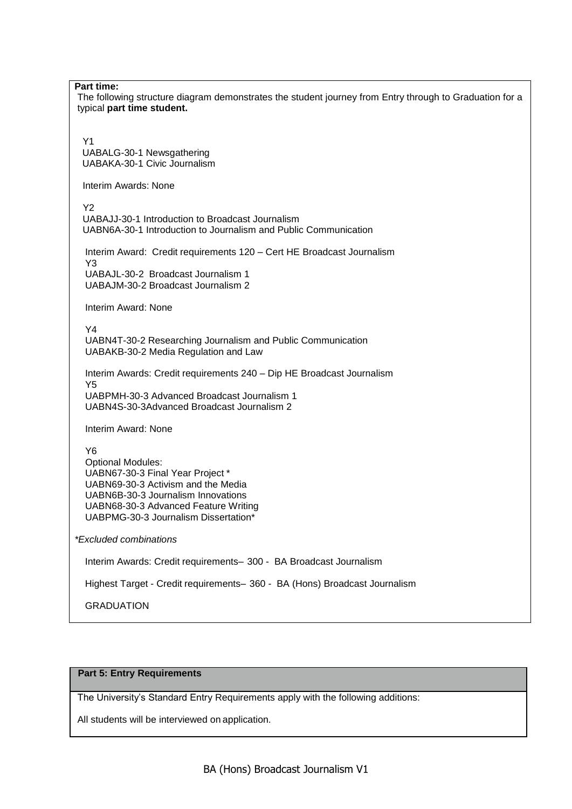#### **Part time:**

The following structure diagram demonstrates the student journey from Entry through to Graduation for a typical **part time student.**

 Y1 UABALG-30-1 Newsgathering UABAKA-30-1 Civic Journalism

Interim Awards: None

Y<sub>2</sub>

 UABAJJ-30-1 Introduction to Broadcast Journalism UABN6A-30-1 Introduction to Journalism and Public Communication

 Interim Award: Credit requirements 120 – Cert HE Broadcast Journalism Y3 UABAJL-30-2 Broadcast Journalism 1

UABAJM-30-2 Broadcast Journalism 2

Interim Award: None

Y4

UABN4T-30-2 Researching Journalism and Public Communication UABAKB-30-2 Media Regulation and Law

Interim Awards: Credit requirements 240 – Dip HE Broadcast Journalism Y5 UABPMH-30-3 Advanced Broadcast Journalism 1

UABN4S-30-3Advanced Broadcast Journalism 2

Interim Award: None

Y6

Optional Modules: UABN67-30-3 Final Year Project \* UABN69-30-3 Activism and the Media UABN6B-30-3 Journalism Innovations UABN68-30-3 Advanced Feature Writing UABPMG-30-3 Journalism Dissertation\*

*\*Excluded combinations*

Interim Awards: Credit requirements– 300 - BA Broadcast Journalism

Highest Target - Credit requirements– 360 - BA (Hons) Broadcast Journalism

GRADUATION

## **Part 5: Entry Requirements**

The University's Standard Entry Requirements apply with the following additions:

All students will be interviewed on application.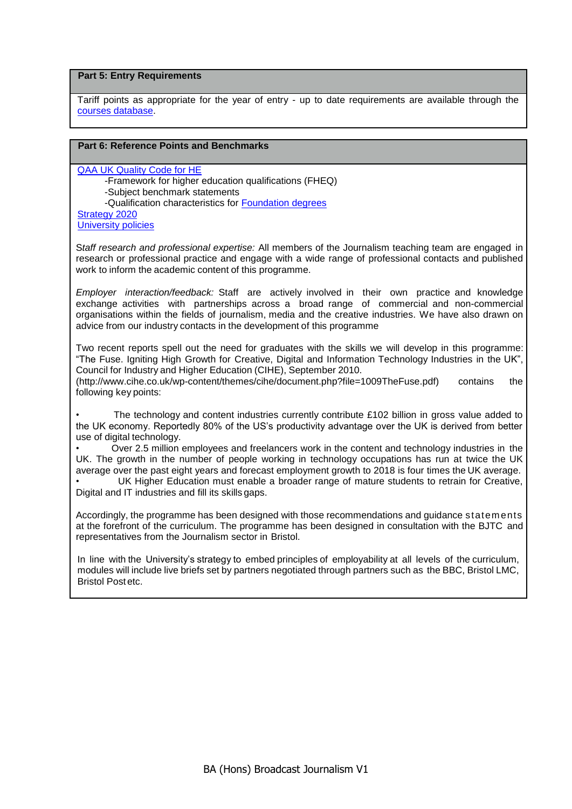## **Part 5: Entry Requirements**

Tariff points as appropriate for the year of entry - up to date requirements are available through the [courses database.](http://www1.uwe.ac.uk/whatcanistudy/courses)

# **Part 6: Reference Points and Benchmarks**

[QAA UK Quality Code for HE](http://www.qaa.ac.uk/assuringstandardsandquality/quality-code/Pages/default.aspx) -Framework for higher education qualifications (FHEQ) -Subject benchmark statements -Qualification characteristics for [Foundation degrees](http://www.qaa.ac.uk/en/Publications/Documents/Foundation-degree-qualification-benchmark-2010.pdf) [Strategy 2020](http://www1.uwe.ac.uk/about/corporateinformation/strategy.aspx) [University policies](http://www1.uwe.ac.uk/aboutus/policies)

S*taff research and professional expertise:* All members of the Journalism teaching team are engaged in research or professional practice and engage with a wide range of professional contacts and published work to inform the academic content of this programme.

*Employer interaction/feedback:* Staff are actively involved in their own practice and knowledge exchange activities with partnerships across a broad range of commercial and non-commercial organisations within the fields of journalism, media and the creative industries. We have also drawn on advice from our industry contacts in the development of this programme

Two recent reports spell out the need for graduates with the skills we will develop in this programme: "The Fuse. Igniting High Growth for Creative, Digital and Information Technology Industries in the UK", Council for Industry and Higher Education (CIHE), September 2010. [\(http://www.cihe.co.uk/wp-content/themes/cihe/document.php?file=1009TheFuse.pdf\)](http://www.cihe.co.uk/wp-content/themes/cihe/document.php?file=1009TheFuse.pdf)) contains the following key points:

The technology and content industries currently contribute £102 billion in gross value added to the UK economy. Reportedly 80% of the US's productivity advantage over the UK is derived from better use of digital technology.

• Over 2.5 million employees and freelancers work in the content and technology industries in the UK. The growth in the number of people working in technology occupations has run at twice the UK average over the past eight years and forecast employment growth to 2018 is four times the UK average.

UK Higher Education must enable a broader range of mature students to retrain for Creative, Digital and IT industries and fill its skills gaps.

Accordingly, the programme has been designed with those recommendations and guidance statements at the forefront of the curriculum. The programme has been designed in consultation with the BJTC and representatives from the Journalism sector in Bristol.

In line with the University's strategy to embed principles of employability at all levels of the curriculum, modules will include live briefs set by partners negotiated through partners such as the BBC, Bristol LMC, Bristol Postetc.